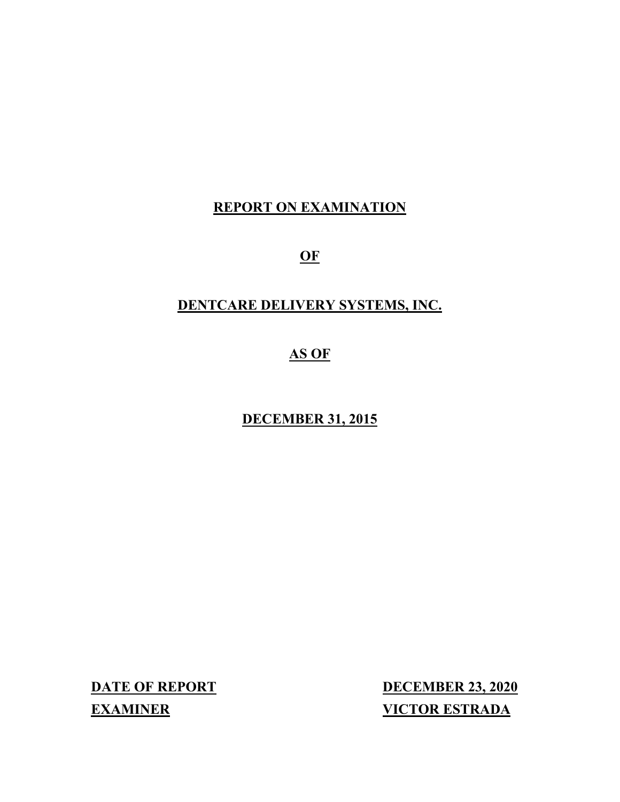# **REPORT ON EXAMINATION**

**OF**

# **DENTCARE DELIVERY SYSTEMS, INC.**

# **AS OF**

# **DECEMBER 31, 2015**

**DATE OF REPORT DECEMBER 23, 2020 EXAMINER VICTOR ESTRADA**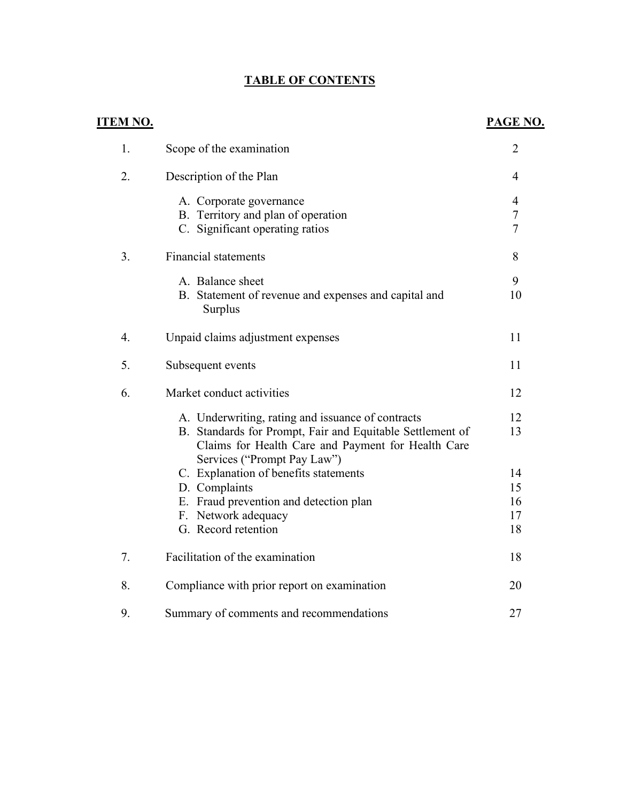# **TABLE OF CONTENTS**

| <u>ITEM NO.</u> |                                                                                                                                                                                                     | PAGE NO.                      |
|-----------------|-----------------------------------------------------------------------------------------------------------------------------------------------------------------------------------------------------|-------------------------------|
| 1.              | Scope of the examination                                                                                                                                                                            | $\overline{2}$                |
| 2.              | Description of the Plan                                                                                                                                                                             | $\overline{4}$                |
|                 | A. Corporate governance<br>B. Territory and plan of operation<br>C. Significant operating ratios                                                                                                    | $\overline{4}$<br>$\tau$<br>7 |
| 3.              | <b>Financial statements</b>                                                                                                                                                                         | 8                             |
|                 | A. Balance sheet<br>B. Statement of revenue and expenses and capital and<br>Surplus                                                                                                                 | 9<br>10                       |
| 4.              | Unpaid claims adjustment expenses                                                                                                                                                                   | 11                            |
| 5.              | Subsequent events                                                                                                                                                                                   | 11                            |
| 6.              | Market conduct activities                                                                                                                                                                           | 12                            |
|                 | A. Underwriting, rating and issuance of contracts<br>B. Standards for Prompt, Fair and Equitable Settlement of<br>Claims for Health Care and Payment for Health Care<br>Services ("Prompt Pay Law") | 12<br>13                      |
|                 | C. Explanation of benefits statements<br>D. Complaints<br>E. Fraud prevention and detection plan<br>F. Network adequacy                                                                             | 14<br>15<br>16<br>17          |
| 7.              | G. Record retention<br>Facilitation of the examination                                                                                                                                              | 18<br>18                      |
| 8.              | Compliance with prior report on examination                                                                                                                                                         | 20                            |
| 9.              | Summary of comments and recommendations                                                                                                                                                             | 27                            |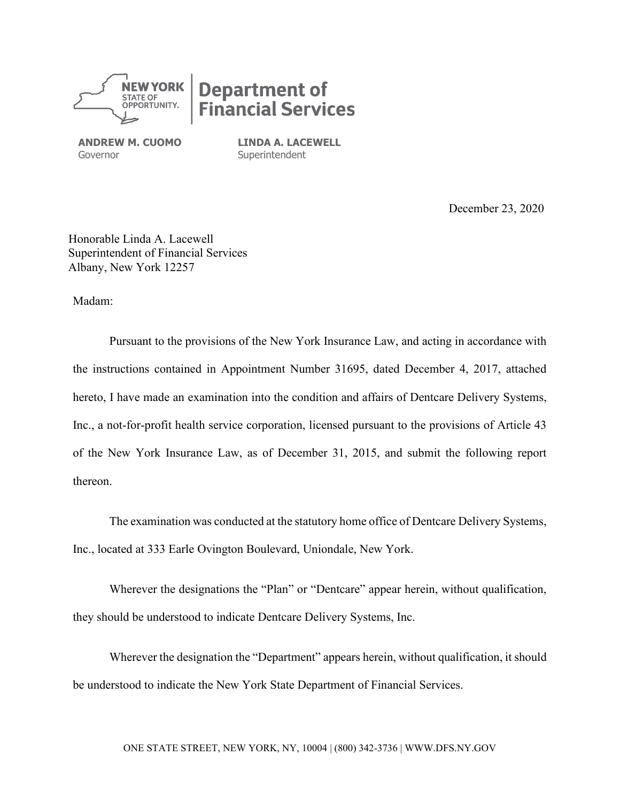

# **Department of<br>Financial Services**

**ANDREW M. CUOMO** Governor

**LINDA A. LACEWELL Superintendent** 

December 23, 2020

Honorable Linda A. Lacewell Superintendent of Financial Services Albany, New York 12257

Madam:

Pursuant to the provisions of the New York Insurance Law, and acting in accordance with the instructions contained in Appointment Number 31695, dated December 4, 2017, attached hereto, I have made an examination into the condition and affairs of Dentcare Delivery Systems, Inc., a not-for-profit health service corporation, licensed pursuant to the provisions of Article 43 of the New York Insurance Law, as of December 31, 2015, and submit the following report thereon.

The examination was conducted at the statutory home office of Dentcare Delivery Systems, Inc., located at 333 Earle Ovington Boulevard, Uniondale, New York.

Wherever the designations the "Plan" or "Dentcare" appear herein, without qualification, they should be understood to indicate Dentcare Delivery Systems, Inc.

Wherever the designation the "Department" appears herein, without qualification, it should be understood to indicate the New York State Department of Financial Services.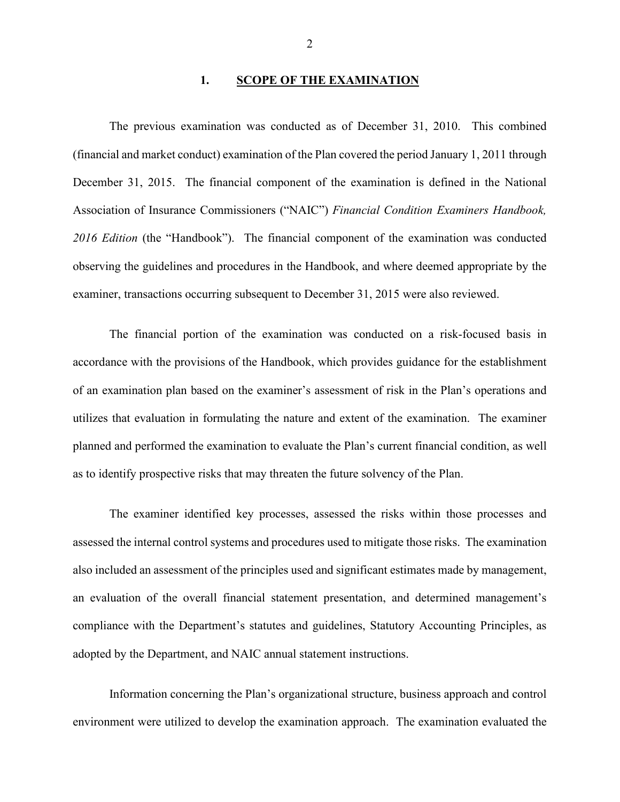#### **1. SCOPE OF THE EXAMINATION**

The previous examination was conducted as of December 31, 2010. This combined (financial and market conduct) examination of the Plan covered the period January 1, 2011 through December 31, 2015. The financial component of the examination is defined in the National Association of Insurance Commissioners ("NAIC") *Financial Condition Examiners Handbook, 2016 Edition* (the "Handbook"). The financial component of the examination was conducted observing the guidelines and procedures in the Handbook, and where deemed appropriate by the examiner, transactions occurring subsequent to December 31, 2015 were also reviewed.

The financial portion of the examination was conducted on a risk-focused basis in accordance with the provisions of the Handbook, which provides guidance for the establishment of an examination plan based on the examiner's assessment of risk in the Plan's operations and utilizes that evaluation in formulating the nature and extent of the examination. The examiner planned and performed the examination to evaluate the Plan's current financial condition, as well as to identify prospective risks that may threaten the future solvency of the Plan.

The examiner identified key processes, assessed the risks within those processes and assessed the internal control systems and procedures used to mitigate those risks. The examination also included an assessment of the principles used and significant estimates made by management, an evaluation of the overall financial statement presentation, and determined management's compliance with the Department's statutes and guidelines, Statutory Accounting Principles, as adopted by the Department, and NAIC annual statement instructions.

Information concerning the Plan's organizational structure, business approach and control environment were utilized to develop the examination approach. The examination evaluated the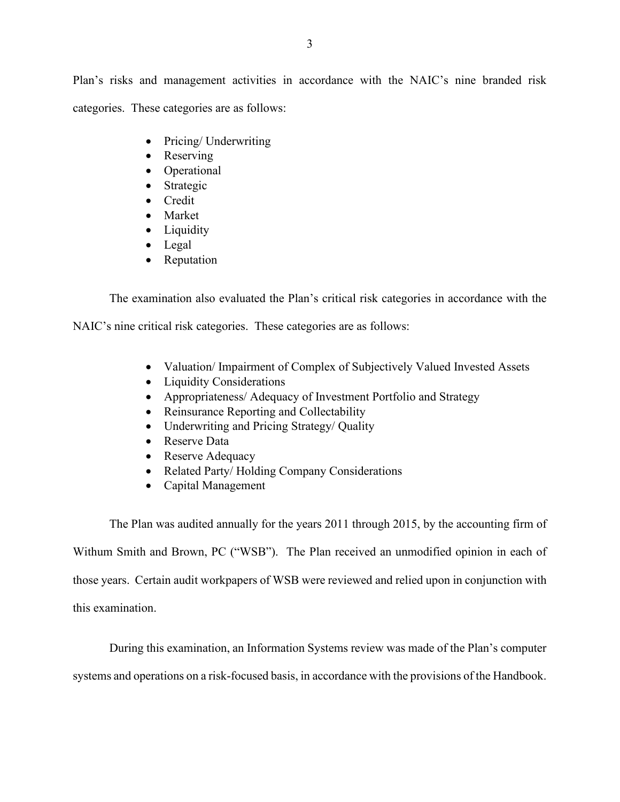Plan's risks and management activities in accordance with the NAIC's nine branded risk categories. These categories are as follows:

- Pricing/ Underwriting
- Reserving
- Operational
- Strategic
- Credit
- Market
- Liquidity
- Legal
- Reputation

The examination also evaluated the Plan's critical risk categories in accordance with the

NAIC's nine critical risk categories. These categories are as follows:

- Valuation/ Impairment of Complex of Subjectively Valued Invested Assets
- Liquidity Considerations
- Appropriateness/ Adequacy of Investment Portfolio and Strategy
- Reinsurance Reporting and Collectability
- Underwriting and Pricing Strategy/ Quality
- Reserve Data
- Reserve Adequacy
- Related Party/ Holding Company Considerations
- Capital Management

The Plan was audited annually for the years 2011 through 2015, by the accounting firm of Withum Smith and Brown, PC ("WSB"). The Plan received an unmodified opinion in each of those years. Certain audit workpapers of WSB were reviewed and relied upon in conjunction with this examination.

During this examination, an Information Systems review was made of the Plan's computer

systems and operations on a risk-focused basis, in accordance with the provisions of the Handbook.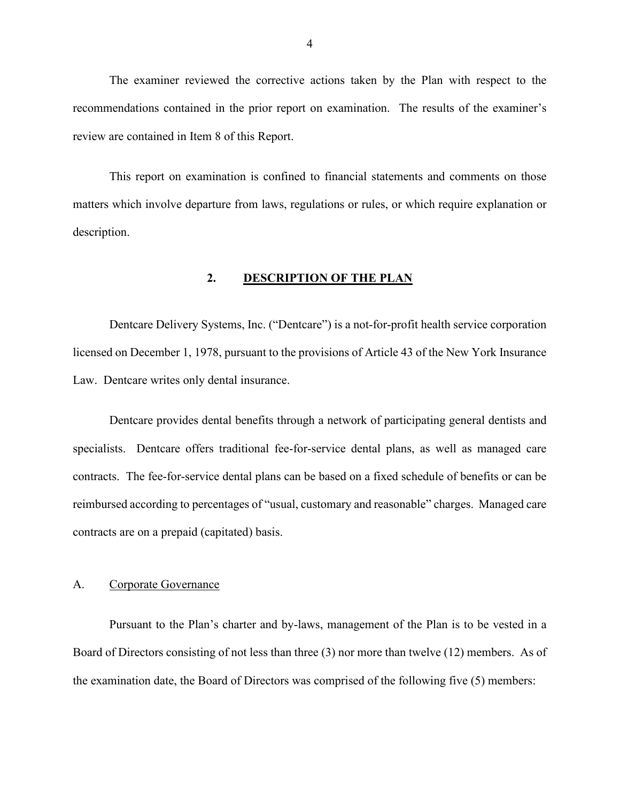The examiner reviewed the corrective actions taken by the Plan with respect to the recommendations contained in the prior report on examination. The results of the examiner's review are contained in Item 8 of this Report.

This report on examination is confined to financial statements and comments on those matters which involve departure from laws, regulations or rules, or which require explanation or description.

#### **2. DESCRIPTION OF THE PLAN**

Dentcare Delivery Systems, Inc. ("Dentcare") is a not-for-profit health service corporation licensed on December 1, 1978, pursuant to the provisions of Article 43 of the New York Insurance Law. Dentcare writes only dental insurance.

Dentcare provides dental benefits through a network of participating general dentists and specialists. Dentcare offers traditional fee-for-service dental plans, as well as managed care contracts. The fee-for-service dental plans can be based on a fixed schedule of benefits or can be reimbursed according to percentages of "usual, customary and reasonable" charges. Managed care contracts are on a prepaid (capitated) basis.

#### A. Corporate Governance

Pursuant to the Plan's charter and by-laws, management of the Plan is to be vested in a Board of Directors consisting of not less than three (3) nor more than twelve (12) members. As of the examination date, the Board of Directors was comprised of the following five (5) members: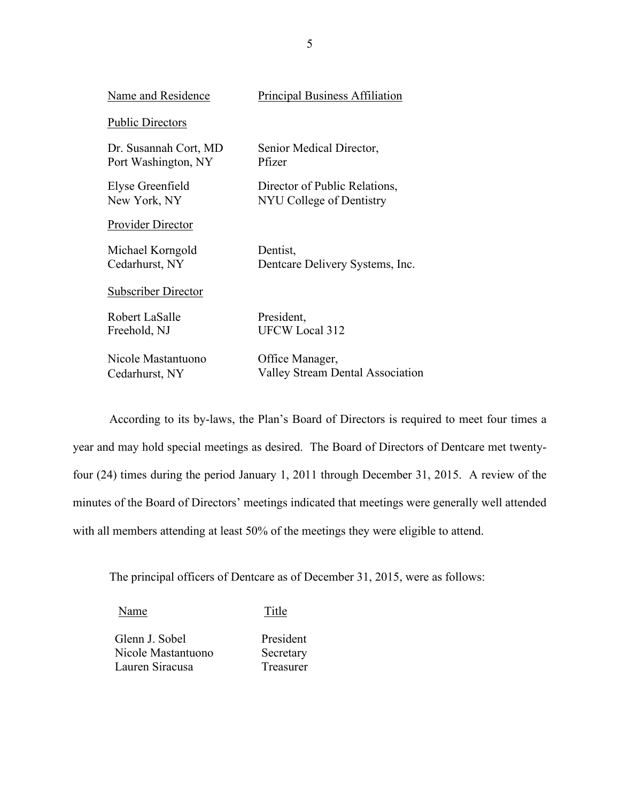| Name and Residence         | <b>Principal Business Affiliation</b>   |
|----------------------------|-----------------------------------------|
| <b>Public Directors</b>    |                                         |
| Dr. Susannah Cort, MD      | Senior Medical Director,                |
| Port Washington, NY        | Pfizer                                  |
| Elyse Greenfield           | Director of Public Relations,           |
| New York, NY               | NYU College of Dentistry                |
| <b>Provider Director</b>   |                                         |
| Michael Korngold           | Dentist,                                |
| Cedarhurst, NY             | Dentcare Delivery Systems, Inc.         |
| <b>Subscriber Director</b> |                                         |
| Robert LaSalle             | President,                              |
| Freehold, NJ               | <b>UFCW Local 312</b>                   |
| Nicole Mastantuono         | Office Manager,                         |
| Cedarhurst, NY             | <b>Valley Stream Dental Association</b> |

According to its by-laws, the Plan's Board of Directors is required to meet four times a year and may hold special meetings as desired. The Board of Directors of Dentcare met twentyfour (24) times during the period January 1, 2011 through December 31, 2015. A review of the minutes of the Board of Directors' meetings indicated that meetings were generally well attended with all members attending at least 50% of the meetings they were eligible to attend.

The principal officers of Dentcare as of December 31, 2015, were as follows:

Name Title

Glenn J. Sobel President Nicole Mastantuono Secretary Lauren Siracusa Treasurer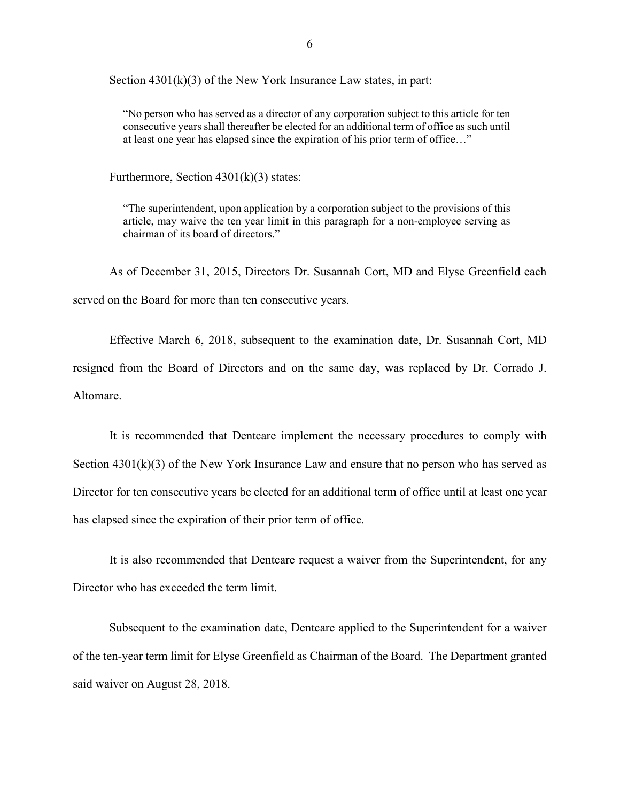Section 4301(k)(3) of the New York Insurance Law states, in part:

"No person who has served as a director of any corporation subject to this article for ten consecutive years shall thereafter be elected for an additional term of office as such until at least one year has elapsed since the expiration of his prior term of office…"

Furthermore, Section  $4301(k)(3)$  states:

"The superintendent, upon application by a corporation subject to the provisions of this article, may waive the ten year limit in this paragraph for a non-employee serving as chairman of its board of directors."

As of December 31, 2015, Directors Dr. Susannah Cort, MD and Elyse Greenfield each served on the Board for more than ten consecutive years.

Effective March 6, 2018, subsequent to the examination date, Dr. Susannah Cort, MD resigned from the Board of Directors and on the same day, was replaced by Dr. Corrado J. Altomare.

It is recommended that Dentcare implement the necessary procedures to comply with Section  $4301(k)(3)$  of the New York Insurance Law and ensure that no person who has served as Director for ten consecutive years be elected for an additional term of office until at least one year has elapsed since the expiration of their prior term of office.

It is also recommended that Dentcare request a waiver from the Superintendent, for any Director who has exceeded the term limit.

Subsequent to the examination date, Dentcare applied to the Superintendent for a waiver of the ten-year term limit for Elyse Greenfield as Chairman of the Board. The Department granted said waiver on August 28, 2018.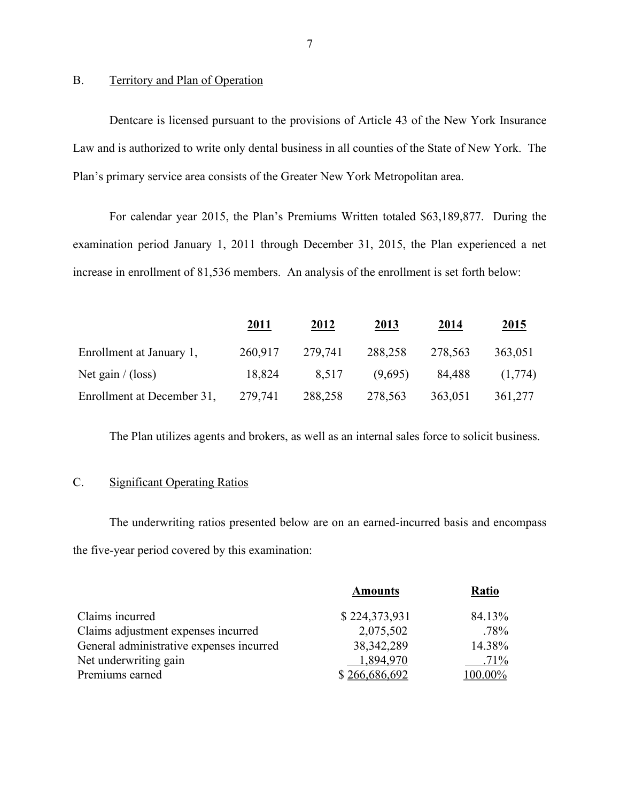#### B. Territory and Plan of Operation

Dentcare is licensed pursuant to the provisions of Article 43 of the New York Insurance Law and is authorized to write only dental business in all counties of the State of New York. The Plan's primary service area consists of the Greater New York Metropolitan area.

For calendar year 2015, the Plan's Premiums Written totaled \$63,189,877. During the examination period January 1, 2011 through December 31, 2015, the Plan experienced a net increase in enrollment of 81,536 members. An analysis of the enrollment is set forth below:

|                            | <u> 2011 </u> | <u>2012</u> | <u> 2013 </u> | 2014    | <u>2015</u> |
|----------------------------|---------------|-------------|---------------|---------|-------------|
| Enrollment at January 1,   | 260,917       | 279,741     | 288,258       | 278,563 | 363,051     |
| Net gain $/(loss)$         | 18,824        | 8.517       | (9,695)       | 84.488  | (1,774)     |
| Enrollment at December 31, | 279,741       | 288,258     | 278,563       | 363,051 | 361,277     |

The Plan utilizes agents and brokers, as well as an internal sales force to solicit business.

#### C. Significant Operating Ratios

The underwriting ratios presented below are on an earned-incurred basis and encompass the five-year period covered by this examination:

|                                          | <b>Amounts</b> | <b>Ratio</b> |
|------------------------------------------|----------------|--------------|
| Claims incurred                          | \$224,373,931  | 84.13%       |
| Claims adjustment expenses incurred      | 2,075,502      | $.78\%$      |
| General administrative expenses incurred | 38, 342, 289   | 14.38%       |
| Net underwriting gain                    | 1,894,970      | $.71\%$      |
| Premiums earned                          | \$266,686,692  | $100.00\%$   |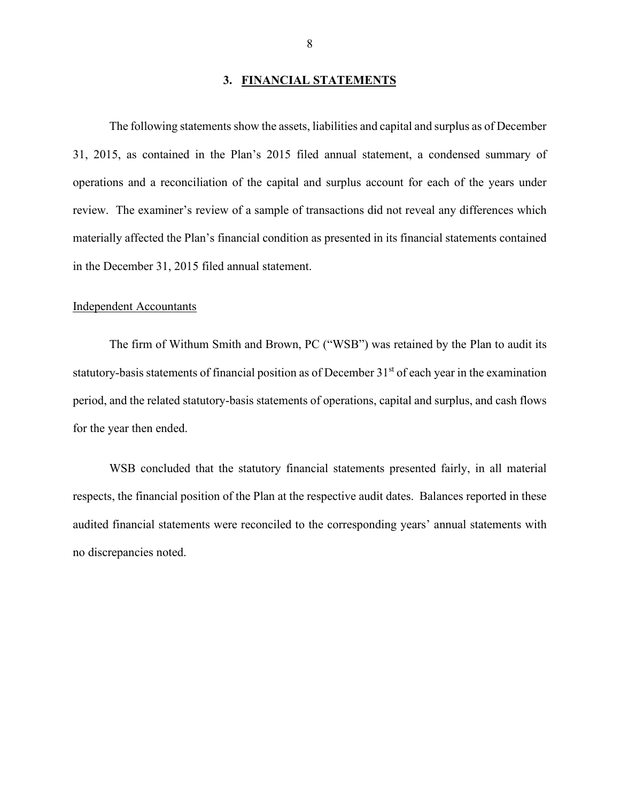#### **3. FINANCIAL STATEMENTS**

The following statements show the assets, liabilities and capital and surplus as of December 31, 2015, as contained in the Plan's 2015 filed annual statement, a condensed summary of operations and a reconciliation of the capital and surplus account for each of the years under review. The examiner's review of a sample of transactions did not reveal any differences which materially affected the Plan's financial condition as presented in its financial statements contained in the December 31, 2015 filed annual statement.

#### Independent Accountants

The firm of Withum Smith and Brown, PC ("WSB") was retained by the Plan to audit its statutory-basis statements of financial position as of December 31<sup>st</sup> of each year in the examination period, and the related statutory-basis statements of operations, capital and surplus, and cash flows for the year then ended.

WSB concluded that the statutory financial statements presented fairly, in all material respects, the financial position of the Plan at the respective audit dates. Balances reported in these audited financial statements were reconciled to the corresponding years' annual statements with no discrepancies noted.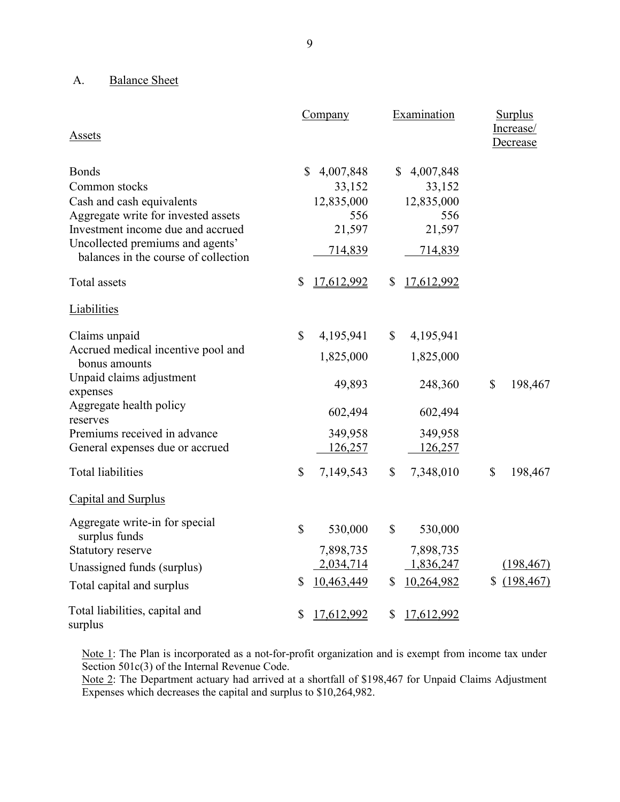## A. Balance Sheet

| Assets                                                                                                                                                                                                             | Company                                                                       | Examination                                                     | <b>Surplus</b><br>Increase/<br>Decrease |
|--------------------------------------------------------------------------------------------------------------------------------------------------------------------------------------------------------------------|-------------------------------------------------------------------------------|-----------------------------------------------------------------|-----------------------------------------|
| <b>Bonds</b><br>Common stocks<br>Cash and cash equivalents<br>Aggregate write for invested assets<br>Investment income due and accrued<br>Uncollected premiums and agents'<br>balances in the course of collection | 4,007,848<br>$\mathbb{S}$<br>33,152<br>12,835,000<br>556<br>21,597<br>714,839 | \$4,007,848<br>33,152<br>12,835,000<br>556<br>21,597<br>714,839 |                                         |
| Total assets                                                                                                                                                                                                       | \$<br>17,612,992                                                              | \$<br>17,612,992                                                |                                         |
| Liabilities                                                                                                                                                                                                        |                                                                               |                                                                 |                                         |
| Claims unpaid<br>Accrued medical incentive pool and<br>bonus amounts<br>Unpaid claims adjustment<br>expenses<br>Aggregate health policy<br>reserves<br>Premiums received in advance                                | \$<br>4,195,941<br>1,825,000<br>49,893<br>602,494<br>349,958                  | \$<br>4,195,941<br>1,825,000<br>248,360<br>602,494<br>349,958   | $\mathbb{S}$<br>198,467                 |
| General expenses due or accrued<br><b>Total liabilities</b>                                                                                                                                                        | 126,257<br>\$<br>7,149,543                                                    | 126,257<br>\$<br>7,348,010                                      | $\mathbb{S}$<br>198,467                 |
| Capital and Surplus                                                                                                                                                                                                |                                                                               |                                                                 |                                         |
| Aggregate write-in for special<br>surplus funds<br>Statutory reserve<br>Unassigned funds (surplus)<br>Total capital and surplus                                                                                    | \$<br>530,000<br>7,898,735<br>2,034,714<br>10,463,449<br>\$                   | \$<br>530,000<br>7,898,735<br>1,836,247<br>10,264,982<br>\$     | (198, 467)<br>(198, 467)<br>S           |
| Total liabilities, capital and<br>surplus                                                                                                                                                                          | \$<br>17,612,992                                                              | \$<br>17,612,992                                                |                                         |

Note 1: The Plan is incorporated as a not-for-profit organization and is exempt from income tax under Section 501c(3) of the Internal Revenue Code.

Note 2: The Department actuary had arrived at a shortfall of \$198,467 for Unpaid Claims Adjustment Expenses which decreases the capital and surplus to \$10,264,982.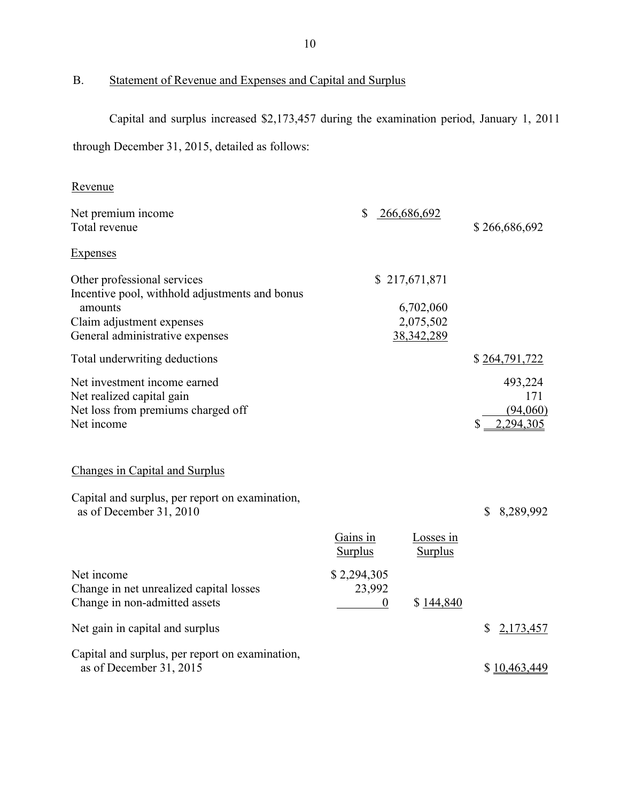B. Statement of Revenue and Expenses and Capital and Surplus

Capital and surplus increased \$2,173,457 during the examination period, January 1, 2011

through December 31, 2015, detailed as follows:

| \$<br>266,686,692<br>Net premium income<br>Total revenue<br>Expenses                                                                                                                                                | \$266,686,692                           |
|---------------------------------------------------------------------------------------------------------------------------------------------------------------------------------------------------------------------|-----------------------------------------|
|                                                                                                                                                                                                                     |                                         |
|                                                                                                                                                                                                                     |                                         |
| Other professional services<br>\$217,671,871<br>Incentive pool, withhold adjustments and bonus<br>amounts<br>6,702,060<br>Claim adjustment expenses<br>2,075,502<br>General administrative expenses<br>38, 342, 289 |                                         |
| Total underwriting deductions                                                                                                                                                                                       | \$264,791,722                           |
| Net investment income earned<br>Net realized capital gain<br>Net loss from premiums charged off<br>Net income                                                                                                       | 493,224<br>171<br>(94,060)<br>2,294,305 |
| Changes in Capital and Surplus                                                                                                                                                                                      |                                         |
| Capital and surplus, per report on examination,<br>as of December 31, 2010                                                                                                                                          | \$8,289,992                             |
| Gains in<br>Losses in<br><b>Surplus</b><br><b>Surplus</b>                                                                                                                                                           |                                         |
| Net income<br>\$2,294,305<br>23,992<br>Change in net unrealized capital losses<br>Change in non-admitted assets<br>\$144,840<br>$\theta$                                                                            |                                         |
| Net gain in capital and surplus<br>\$                                                                                                                                                                               | 2,173,457                               |
| Capital and surplus, per report on examination,<br>as of December 31, 2015                                                                                                                                          | \$10,463,449                            |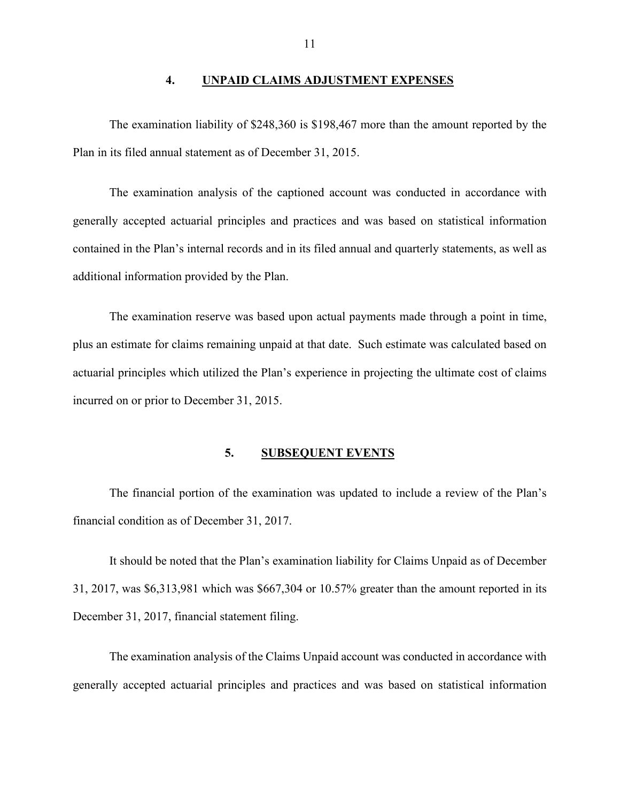#### **4. UNPAID CLAIMS ADJUSTMENT EXPENSES**

The examination liability of \$248,360 is \$198,467 more than the amount reported by the Plan in its filed annual statement as of December 31, 2015.

The examination analysis of the captioned account was conducted in accordance with generally accepted actuarial principles and practices and was based on statistical information contained in the Plan's internal records and in its filed annual and quarterly statements, as well as additional information provided by the Plan.

The examination reserve was based upon actual payments made through a point in time, plus an estimate for claims remaining unpaid at that date. Such estimate was calculated based on actuarial principles which utilized the Plan's experience in projecting the ultimate cost of claims incurred on or prior to December 31, 2015.

#### **5. SUBSEQUENT EVENTS**

The financial portion of the examination was updated to include a review of the Plan's financial condition as of December 31, 2017.

It should be noted that the Plan's examination liability for Claims Unpaid as of December 31, 2017, was \$6,313,981 which was \$667,304 or 10.57% greater than the amount reported in its December 31, 2017, financial statement filing.

The examination analysis of the Claims Unpaid account was conducted in accordance with generally accepted actuarial principles and practices and was based on statistical information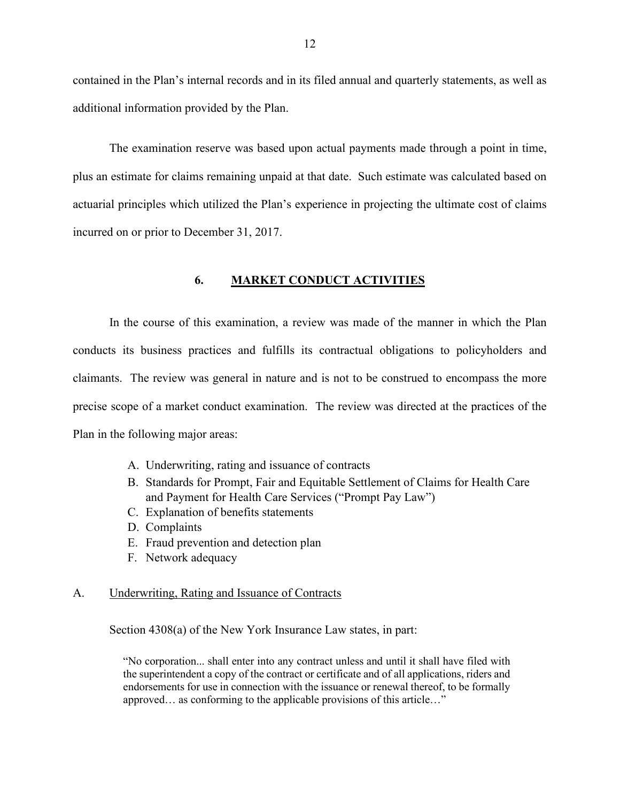contained in the Plan's internal records and in its filed annual and quarterly statements, as well as additional information provided by the Plan.

The examination reserve was based upon actual payments made through a point in time, plus an estimate for claims remaining unpaid at that date. Such estimate was calculated based on actuarial principles which utilized the Plan's experience in projecting the ultimate cost of claims incurred on or prior to December 31, 2017.

#### **6. MARKET CONDUCT ACTIVITIES**

In the course of this examination, a review was made of the manner in which the Plan conducts its business practices and fulfills its contractual obligations to policyholders and claimants. The review was general in nature and is not to be construed to encompass the more precise scope of a market conduct examination. The review was directed at the practices of the Plan in the following major areas:

- A. Underwriting, rating and issuance of contracts
- B. Standards for Prompt, Fair and Equitable Settlement of Claims for Health Care and Payment for Health Care Services ("Prompt Pay Law")
- C. Explanation of benefits statements
- D. Complaints
- E. Fraud prevention and detection plan
- F. Network adequacy

#### A. Underwriting, Rating and Issuance of Contracts

Section 4308(a) of the New York Insurance Law states, in part:

"No corporation... shall enter into any contract unless and until it shall have filed with the superintendent a copy of the contract or certificate and of all applications, riders and endorsements for use in connection with the issuance or renewal thereof, to be formally approved… as conforming to the applicable provisions of this article…"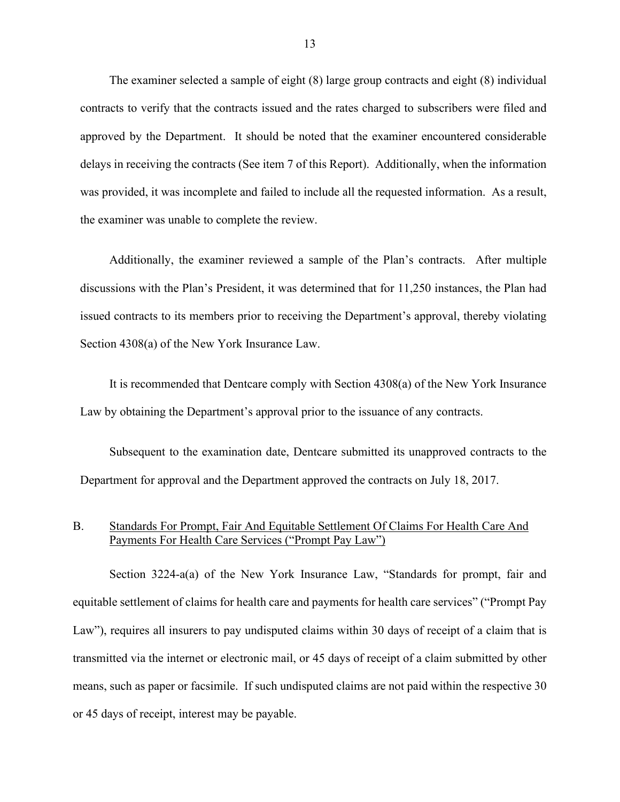The examiner selected a sample of eight (8) large group contracts and eight (8) individual contracts to verify that the contracts issued and the rates charged to subscribers were filed and approved by the Department. It should be noted that the examiner encountered considerable delays in receiving the contracts (See item 7 of this Report). Additionally, when the information was provided, it was incomplete and failed to include all the requested information. As a result, the examiner was unable to complete the review.

Additionally, the examiner reviewed a sample of the Plan's contracts. After multiple discussions with the Plan's President, it was determined that for 11,250 instances, the Plan had issued contracts to its members prior to receiving the Department's approval, thereby violating Section 4308(a) of the New York Insurance Law.

It is recommended that Dentcare comply with Section 4308(a) of the New York Insurance Law by obtaining the Department's approval prior to the issuance of any contracts.

Subsequent to the examination date, Dentcare submitted its unapproved contracts to the Department for approval and the Department approved the contracts on July 18, 2017.

#### B. Standards For Prompt, Fair And Equitable Settlement Of Claims For Health Care And Payments For Health Care Services ("Prompt Pay Law")

Section 3224-a(a) of the New York Insurance Law, "Standards for prompt, fair and equitable settlement of claims for health care and payments for health care services" ("Prompt Pay Law"), requires all insurers to pay undisputed claims within 30 days of receipt of a claim that is transmitted via the internet or electronic mail, or 45 days of receipt of a claim submitted by other means, such as paper or facsimile. If such undisputed claims are not paid within the respective 30 or 45 days of receipt, interest may be payable.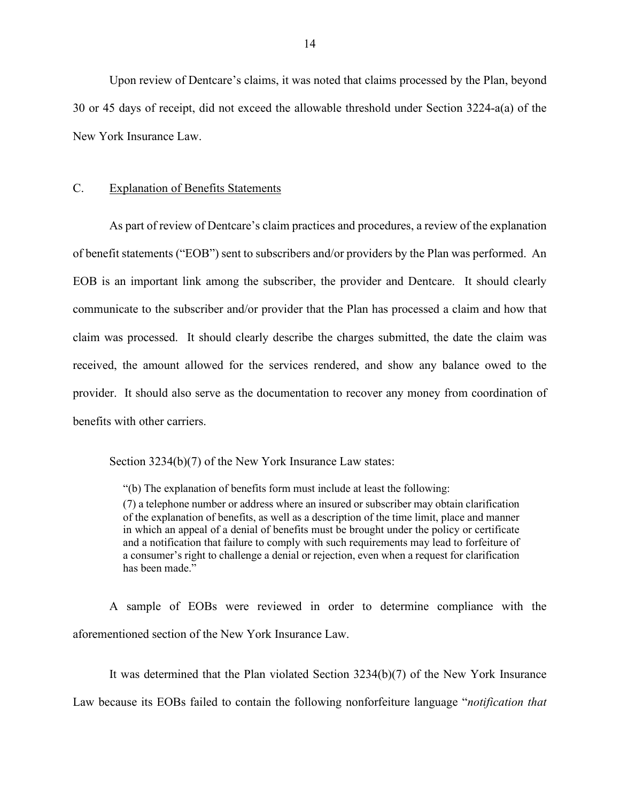Upon review of Dentcare's claims, it was noted that claims processed by the Plan, beyond 30 or 45 days of receipt, did not exceed the allowable threshold under Section 3224-a(a) of the New York Insurance Law.

#### C. Explanation of Benefits Statements

As part of review of Dentcare's claim practices and procedures, a review of the explanation of benefit statements ("EOB") sent to subscribers and/or providers by the Plan was performed. An EOB is an important link among the subscriber, the provider and Dentcare. It should clearly communicate to the subscriber and/or provider that the Plan has processed a claim and how that claim was processed. It should clearly describe the charges submitted, the date the claim was received, the amount allowed for the services rendered, and show any balance owed to the provider. It should also serve as the documentation to recover any money from coordination of benefits with other carriers.

Section 3234(b)(7) of the New York Insurance Law states:

"(b) The explanation of benefits form must include at least the following:

(7) a telephone number or address where an insured or subscriber may obtain clarification of the explanation of benefits, as well as a description of the time limit, place and manner in which an appeal of a denial of benefits must be brought under the policy or certificate and a notification that failure to comply with such requirements may lead to forfeiture of a consumer's right to challenge a denial or rejection, even when a request for clarification has been made."

A sample of EOBs were reviewed in order to determine compliance with the aforementioned section of the New York Insurance Law.

It was determined that the Plan violated Section 3234(b)(7) of the New York Insurance

Law because its EOBs failed to contain the following nonforfeiture language "*notification that*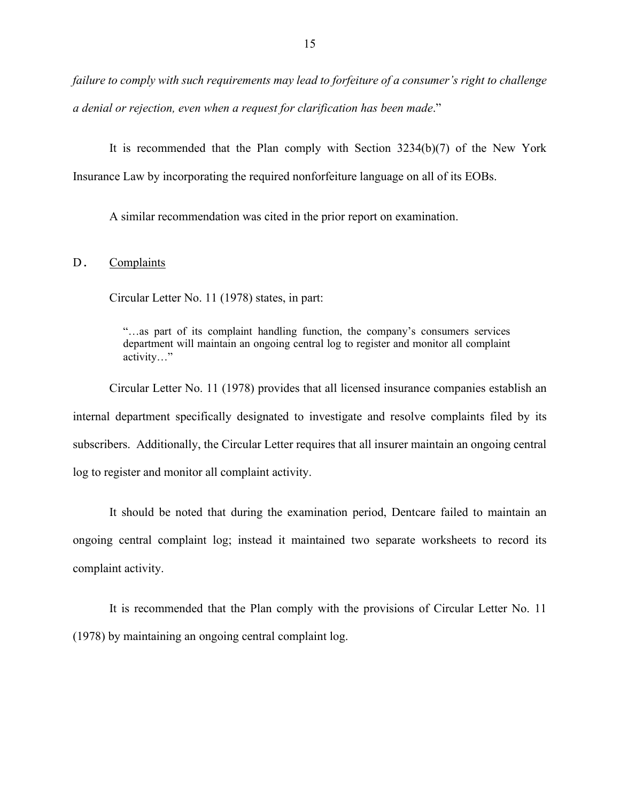*failure to comply with such requirements may lead to forfeiture of a consumer's right to challenge a denial or rejection, even when a request for clarification has been made*."

It is recommended that the Plan comply with Section 3234(b)(7) of the New York Insurance Law by incorporating the required nonforfeiture language on all of its EOBs.

A similar recommendation was cited in the prior report on examination.

#### D. Complaints

Circular Letter No. 11 (1978) states, in part:

"…as part of its complaint handling function, the company's consumers services department will maintain an ongoing central log to register and monitor all complaint activity…"

Circular Letter No. 11 (1978) provides that all licensed insurance companies establish an internal department specifically designated to investigate and resolve complaints filed by its subscribers. Additionally, the Circular Letter requires that all insurer maintain an ongoing central log to register and monitor all complaint activity.

It should be noted that during the examination period, Dentcare failed to maintain an ongoing central complaint log; instead it maintained two separate worksheets to record its complaint activity.

It is recommended that the Plan comply with the provisions of Circular Letter No. 11 (1978) by maintaining an ongoing central complaint log.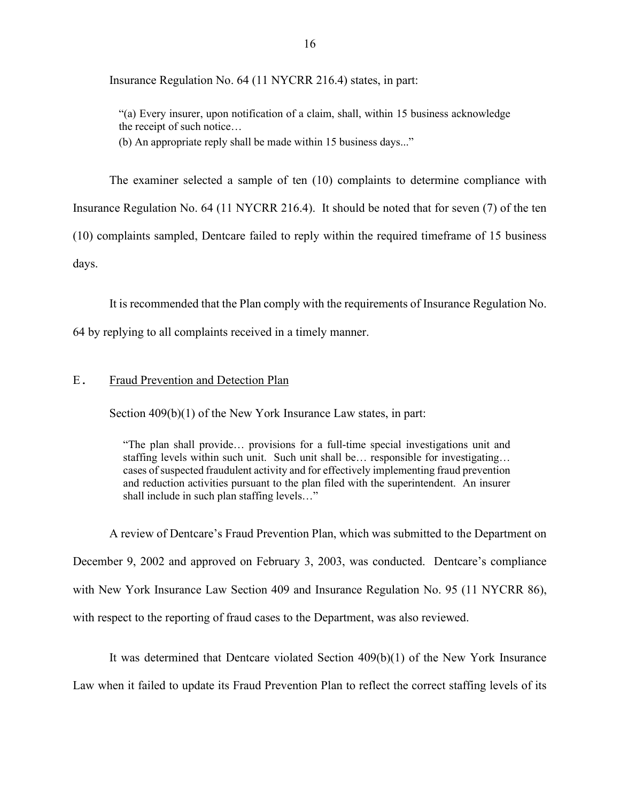Insurance Regulation No. 64 (11 NYCRR 216.4) states, in part:

"(a) Every insurer, upon notification of a claim, shall, within 15 business acknowledge the receipt of such notice…

(b) An appropriate reply shall be made within 15 business days..."

The examiner selected a sample of ten (10) complaints to determine compliance with

Insurance Regulation No. 64 (11 NYCRR 216.4). It should be noted that for seven (7) of the ten

(10) complaints sampled, Dentcare failed to reply within the required timeframe of 15 business

days.

It is recommended that the Plan comply with the requirements of Insurance Regulation No.

64 by replying to all complaints received in a timely manner.

#### E. Fraud Prevention and Detection Plan

Section 409(b)(1) of the New York Insurance Law states, in part:

"The plan shall provide… provisions for a full-time special investigations unit and staffing levels within such unit. Such unit shall be… responsible for investigating… cases of suspected fraudulent activity and for effectively implementing fraud prevention and reduction activities pursuant to the plan filed with the superintendent. An insurer shall include in such plan staffing levels…"

A review of Dentcare's Fraud Prevention Plan, which was submitted to the Department on December 9, 2002 and approved on February 3, 2003, was conducted. Dentcare's compliance with New York Insurance Law Section 409 and Insurance Regulation No. 95 (11 NYCRR 86), with respect to the reporting of fraud cases to the Department, was also reviewed.

It was determined that Dentcare violated Section 409(b)(1) of the New York Insurance Law when it failed to update its Fraud Prevention Plan to reflect the correct staffing levels of its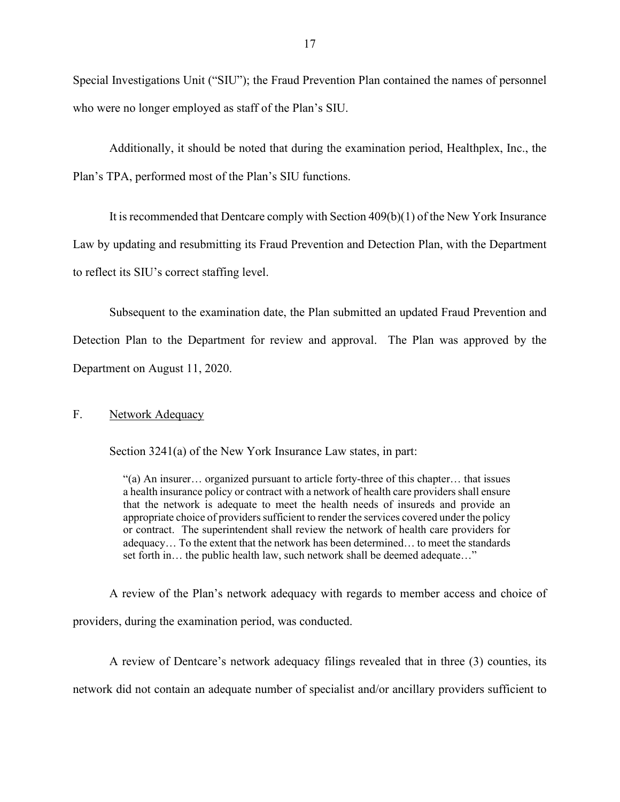Special Investigations Unit ("SIU"); the Fraud Prevention Plan contained the names of personnel who were no longer employed as staff of the Plan's SIU.

Additionally, it should be noted that during the examination period, Healthplex, Inc., the Plan's TPA, performed most of the Plan's SIU functions.

It is recommended that Dentcare comply with Section 409(b)(1) of the New York Insurance Law by updating and resubmitting its Fraud Prevention and Detection Plan, with the Department to reflect its SIU's correct staffing level.

Subsequent to the examination date, the Plan submitted an updated Fraud Prevention and Detection Plan to the Department for review and approval. The Plan was approved by the Department on August 11, 2020.

#### F. Network Adequacy

Section 3241(a) of the New York Insurance Law states, in part:

"(a) An insurer… organized pursuant to article forty-three of this chapter… that issues a health insurance policy or contract with a network of health care providers shall ensure that the network is adequate to meet the health needs of insureds and provide an appropriate choice of providers sufficient to render the services covered under the policy or contract. The superintendent shall review the network of health care providers for adequacy… To the extent that the network has been determined… to meet the standards set forth in… the public health law, such network shall be deemed adequate…"

A review of the Plan's network adequacy with regards to member access and choice of providers, during the examination period, was conducted.

A review of Dentcare's network adequacy filings revealed that in three (3) counties, its network did not contain an adequate number of specialist and/or ancillary providers sufficient to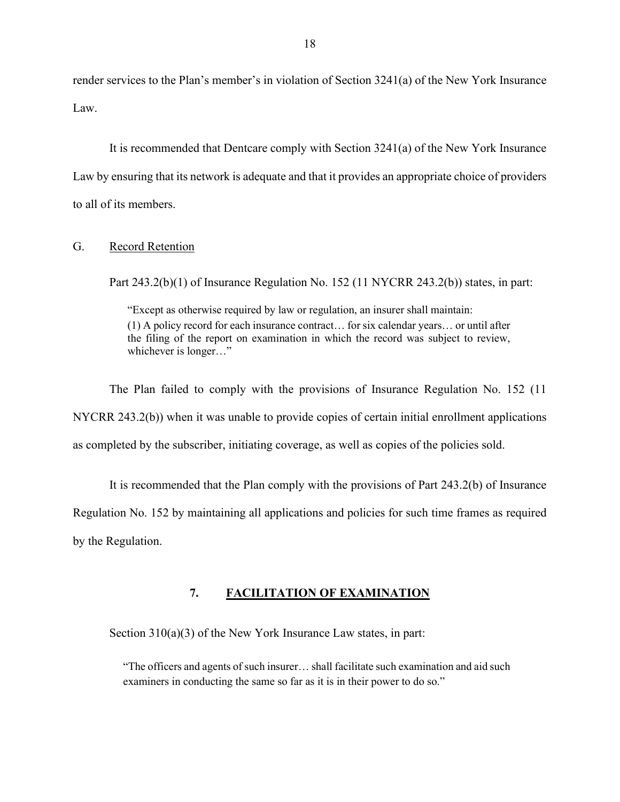render services to the Plan's member's in violation of Section 3241(a) of the New York Insurance Law.

It is recommended that Dentcare comply with Section 3241(a) of the New York Insurance Law by ensuring that its network is adequate and that it provides an appropriate choice of providers to all of its members.

#### G. Record Retention

Part 243.2(b)(1) of Insurance Regulation No. 152 (11 NYCRR 243.2(b)) states, in part:

"Except as otherwise required by law or regulation, an insurer shall maintain: (1) A policy record for each insurance contract… for six calendar years… or until after the filing of the report on examination in which the record was subject to review, whichever is longer…"

The Plan failed to comply with the provisions of Insurance Regulation No. 152 (11 NYCRR 243.2(b)) when it was unable to provide copies of certain initial enrollment applications as completed by the subscriber, initiating coverage, as well as copies of the policies sold.

It is recommended that the Plan comply with the provisions of Part 243.2(b) of Insurance Regulation No. 152 by maintaining all applications and policies for such time frames as required by the Regulation.

#### **7. FACILITATION OF EXAMINATION**

Section 310(a)(3) of the New York Insurance Law states, in part:

"The officers and agents of such insurer… shall facilitate such examination and aid such examiners in conducting the same so far as it is in their power to do so."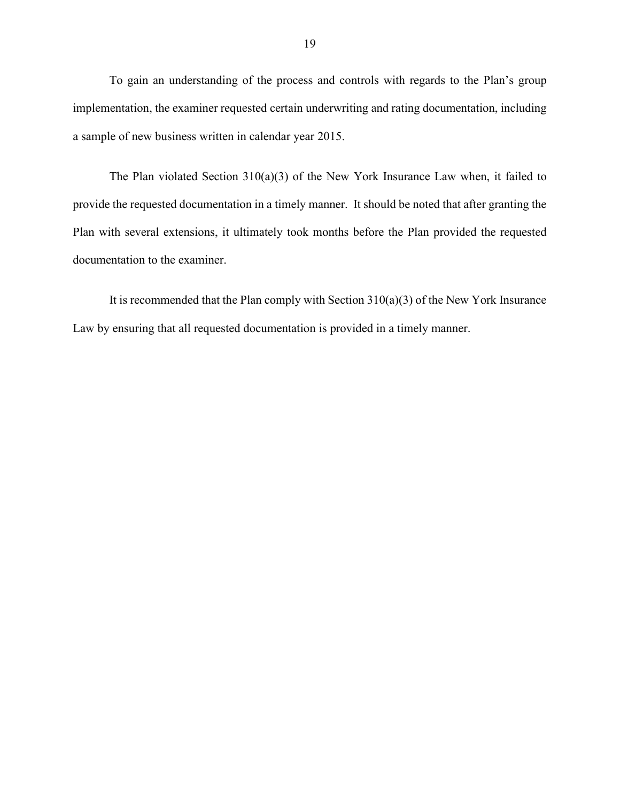To gain an understanding of the process and controls with regards to the Plan's group implementation, the examiner requested certain underwriting and rating documentation, including a sample of new business written in calendar year 2015.

The Plan violated Section 310(a)(3) of the New York Insurance Law when, it failed to provide the requested documentation in a timely manner. It should be noted that after granting the Plan with several extensions, it ultimately took months before the Plan provided the requested documentation to the examiner.

It is recommended that the Plan comply with Section  $310(a)(3)$  of the New York Insurance Law by ensuring that all requested documentation is provided in a timely manner.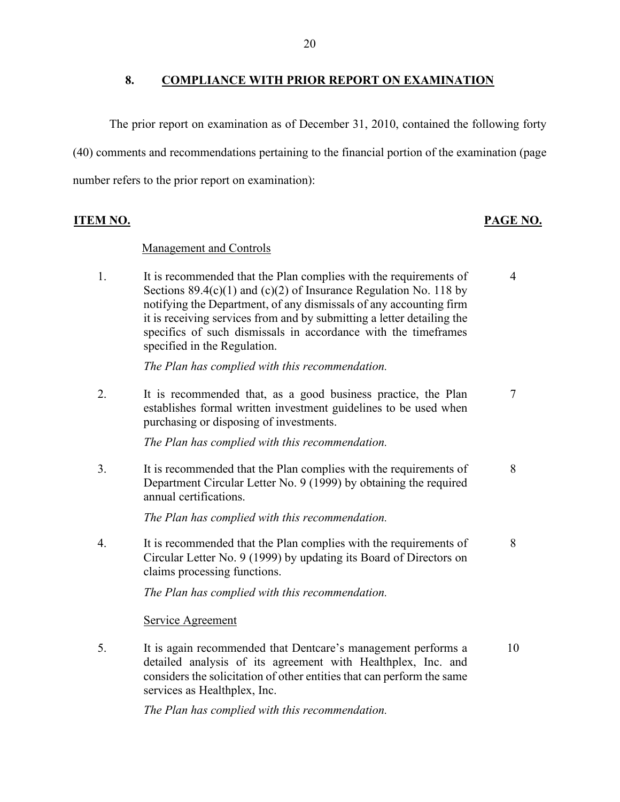#### **8. COMPLIANCE WITH PRIOR REPORT ON EXAMINATION**

The prior report on examination as of December 31, 2010, contained the following forty (40) comments and recommendations pertaining to the financial portion of the examination (page number refers to the prior report on examination):

**ITEM NO. PAGE NO.**

7

8

#### Management and Controls

1. It is recommended that the Plan complies with the requirements of Sections  $89.4(c)(1)$  and  $(c)(2)$  of Insurance Regulation No. 118 by notifying the Department, of any dismissals of any accounting firm it is receiving services from and by submitting a letter detailing the specifics of such dismissals in accordance with the timeframes specified in the Regulation. 4

*The Plan has complied with this recommendation.*

2. It is recommended that, as a good business practice, the Plan establishes formal written investment guidelines to be used when purchasing or disposing of investments.

*The Plan has complied with this recommendation.*

3. It is recommended that the Plan complies with the requirements of Department Circular Letter No. 9 (1999) by obtaining the required annual certifications. 8

*The Plan has complied with this recommendation.*

4. It is recommended that the Plan complies with the requirements of Circular Letter No. 9 (1999) by updating its Board of Directors on claims processing functions.

*The Plan has complied with this recommendation.*

Service Agreement

5. It is again recommended that Dentcare's management performs a detailed analysis of its agreement with Healthplex, Inc. and considers the solicitation of other entities that can perform the same services as Healthplex, Inc. 10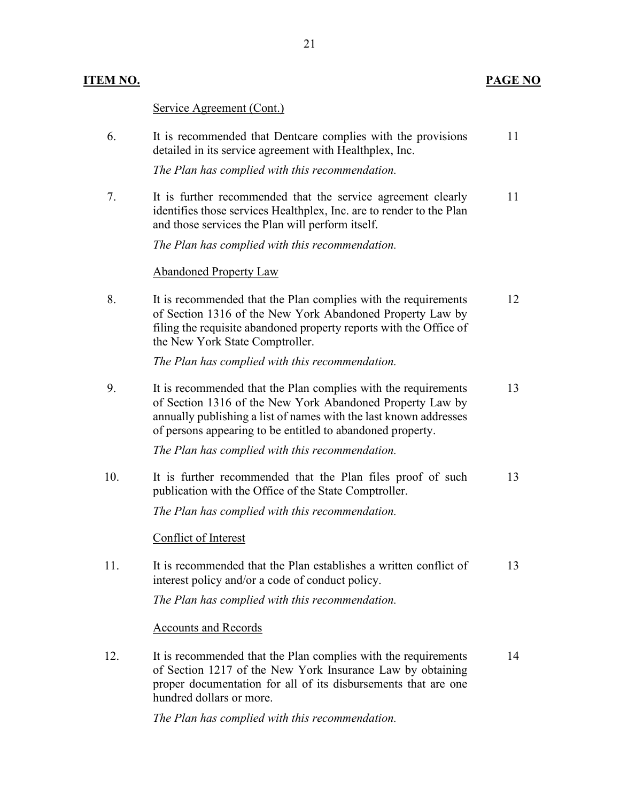# **ITEM NO. PAGE NO**

Service Agreement (Cont.)

| 6.  | It is recommended that Dentcare complies with the provisions<br>detailed in its service agreement with Healthplex, Inc.<br>The Plan has complied with this recommendation.                                                                                     | 11 |
|-----|----------------------------------------------------------------------------------------------------------------------------------------------------------------------------------------------------------------------------------------------------------------|----|
| 7.  | It is further recommended that the service agreement clearly<br>identifies those services Healthplex, Inc. are to render to the Plan<br>and those services the Plan will perform itself.                                                                       | 11 |
|     | The Plan has complied with this recommendation.                                                                                                                                                                                                                |    |
|     | <b>Abandoned Property Law</b>                                                                                                                                                                                                                                  |    |
| 8.  | It is recommended that the Plan complies with the requirements<br>of Section 1316 of the New York Abandoned Property Law by<br>filing the requisite abandoned property reports with the Office of<br>the New York State Comptroller.                           | 12 |
|     | The Plan has complied with this recommendation.                                                                                                                                                                                                                |    |
| 9.  | It is recommended that the Plan complies with the requirements<br>of Section 1316 of the New York Abandoned Property Law by<br>annually publishing a list of names with the last known addresses<br>of persons appearing to be entitled to abandoned property. | 13 |
|     | The Plan has complied with this recommendation.                                                                                                                                                                                                                |    |
| 10. | It is further recommended that the Plan files proof of such<br>publication with the Office of the State Comptroller.                                                                                                                                           | 13 |
|     | The Plan has complied with this recommendation.                                                                                                                                                                                                                |    |
|     | Conflict of Interest                                                                                                                                                                                                                                           |    |
| 11. | It is recommended that the Plan establishes a written conflict of<br>interest policy and/or a code of conduct policy.                                                                                                                                          | 13 |
|     | The Plan has complied with this recommendation.                                                                                                                                                                                                                |    |
|     | <b>Accounts and Records</b>                                                                                                                                                                                                                                    |    |
| 12. | It is recommended that the Plan complies with the requirements<br>of Section 1217 of the New York Insurance Law by obtaining<br>proper documentation for all of its disbursements that are one<br>hundred dollars or more.                                     | 14 |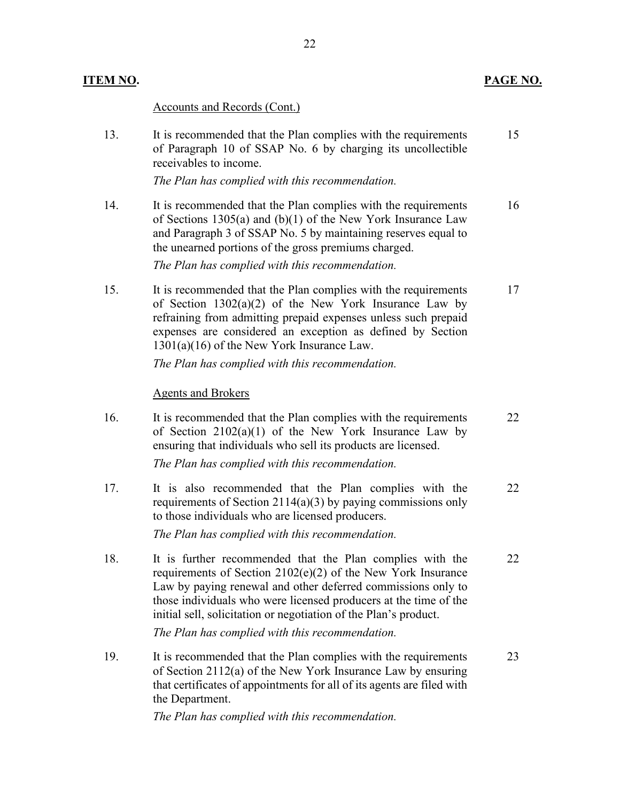# Accounts and Records (Cont.)

| 13. | It is recommended that the Plan complies with the requirements<br>of Paragraph 10 of SSAP No. 6 by charging its uncollectible<br>receivables to income.                                                                                                                                                                                                                              | 15 |
|-----|--------------------------------------------------------------------------------------------------------------------------------------------------------------------------------------------------------------------------------------------------------------------------------------------------------------------------------------------------------------------------------------|----|
|     | The Plan has complied with this recommendation.                                                                                                                                                                                                                                                                                                                                      |    |
| 14. | It is recommended that the Plan complies with the requirements<br>of Sections 1305(a) and $(b)(1)$ of the New York Insurance Law<br>and Paragraph 3 of SSAP No. 5 by maintaining reserves equal to<br>the unearned portions of the gross premiums charged.<br>The Plan has complied with this recommendation.                                                                        | 16 |
| 15. | It is recommended that the Plan complies with the requirements<br>of Section $1302(a)(2)$ of the New York Insurance Law by<br>refraining from admitting prepaid expenses unless such prepaid<br>expenses are considered an exception as defined by Section<br>$1301(a)(16)$ of the New York Insurance Law.                                                                           | 17 |
|     | The Plan has complied with this recommendation.                                                                                                                                                                                                                                                                                                                                      |    |
|     | <b>Agents and Brokers</b>                                                                                                                                                                                                                                                                                                                                                            |    |
| 16. | It is recommended that the Plan complies with the requirements<br>of Section $2102(a)(1)$ of the New York Insurance Law by<br>ensuring that individuals who sell its products are licensed.<br>The Plan has complied with this recommendation.                                                                                                                                       | 22 |
| 17. | It is also recommended that the Plan complies with the<br>requirements of Section 2114(a)(3) by paying commissions only<br>to those individuals who are licensed producers.<br>The Plan has complied with this recommendation.                                                                                                                                                       | 22 |
| 18. | It is further recommended that the Plan complies with the<br>requirements of Section 2102(e)(2) of the New York Insurance<br>Law by paying renewal and other deferred commissions only to<br>those individuals who were licensed producers at the time of the<br>initial sell, solicitation or negotiation of the Plan's product.<br>The Plan has complied with this recommendation. | 22 |
| 19. | It is recommended that the Plan complies with the requirements<br>of Section 2112(a) of the New York Insurance Law by ensuring<br>that certificates of appointments for all of its agents are filed with<br>the Department.                                                                                                                                                          | 23 |
|     |                                                                                                                                                                                                                                                                                                                                                                                      |    |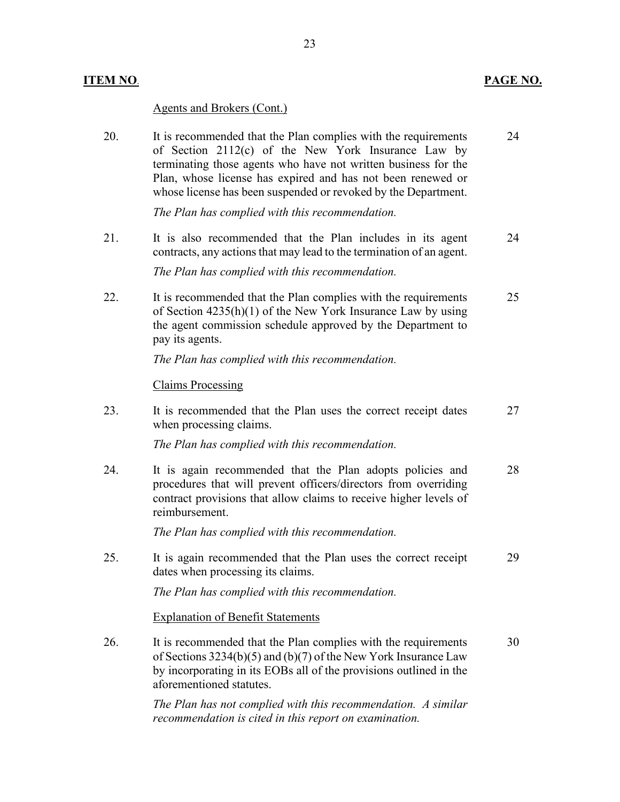## **ITEM NO**. **PAGE NO.**

## Agents and Brokers (Cont.)

| 20. | It is recommended that the Plan complies with the requirements<br>of Section 2112(c) of the New York Insurance Law by<br>terminating those agents who have not written business for the<br>Plan, whose license has expired and has not been renewed or<br>whose license has been suspended or revoked by the Department. | 24 |
|-----|--------------------------------------------------------------------------------------------------------------------------------------------------------------------------------------------------------------------------------------------------------------------------------------------------------------------------|----|
|     | The Plan has complied with this recommendation.                                                                                                                                                                                                                                                                          |    |
| 21. | It is also recommended that the Plan includes in its agent<br>contracts, any actions that may lead to the termination of an agent.                                                                                                                                                                                       | 24 |
|     | The Plan has complied with this recommendation.                                                                                                                                                                                                                                                                          |    |
| 22. | It is recommended that the Plan complies with the requirements<br>of Section $4235(h)(1)$ of the New York Insurance Law by using<br>the agent commission schedule approved by the Department to<br>pay its agents.                                                                                                       | 25 |
|     | The Plan has complied with this recommendation.                                                                                                                                                                                                                                                                          |    |
|     | <b>Claims Processing</b>                                                                                                                                                                                                                                                                                                 |    |
| 23. | It is recommended that the Plan uses the correct receipt dates<br>when processing claims.                                                                                                                                                                                                                                | 27 |
|     | The Plan has complied with this recommendation.                                                                                                                                                                                                                                                                          |    |
| 24. | It is again recommended that the Plan adopts policies and<br>procedures that will prevent officers/directors from overriding<br>contract provisions that allow claims to receive higher levels of<br>reimbursement.                                                                                                      | 28 |
|     | The Plan has complied with this recommendation.                                                                                                                                                                                                                                                                          |    |
| 25. | It is again recommended that the Plan uses the correct receipt<br>dates when processing its claims.                                                                                                                                                                                                                      | 29 |
|     | The Plan has complied with this recommendation.                                                                                                                                                                                                                                                                          |    |
|     | <b>Explanation of Benefit Statements</b>                                                                                                                                                                                                                                                                                 |    |
| 26. | It is recommended that the Plan complies with the requirements<br>of Sections 3234(b)(5) and (b)(7) of the New York Insurance Law<br>by incorporating in its EOBs all of the provisions outlined in the<br>aforementioned statutes.                                                                                      | 30 |

*The Plan has not complied with this recommendation. A similar recommendation is cited in this report on examination.*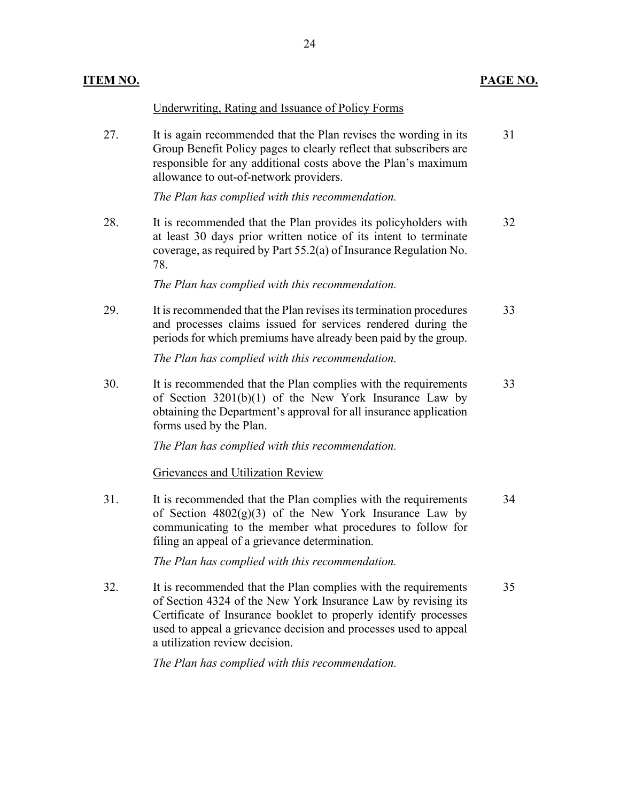Underwriting, Rating and Issuance of Policy Forms

27. It is again recommended that the Plan revises the wording in its Group Benefit Policy pages to clearly reflect that subscribers are responsible for any additional costs above the Plan's maximum allowance to out-of-network providers. 31

*The Plan has complied with this recommendation.*

28. It is recommended that the Plan provides its policyholders with at least 30 days prior written notice of its intent to terminate coverage, as required by Part 55.2(a) of Insurance Regulation No. 78. 32

*The Plan has complied with this recommendation.*

29. It is recommended that the Plan revises its termination procedures and processes claims issued for services rendered during the periods for which premiums have already been paid by the group. 33

*The Plan has complied with this recommendation.*

30. It is recommended that the Plan complies with the requirements of Section 3201(b)(1) of the New York Insurance Law by obtaining the Department's approval for all insurance application forms used by the Plan. 33

*The Plan has complied with this recommendation.*

#### Grievances and Utilization Review

31. It is recommended that the Plan complies with the requirements of Section  $4802(g)(3)$  of the New York Insurance Law by communicating to the member what procedures to follow for filing an appeal of a grievance determination. 34

*The Plan has complied with this recommendation.*

32. It is recommended that the Plan complies with the requirements of Section 4324 of the New York Insurance Law by revising its Certificate of Insurance booklet to properly identify processes used to appeal a grievance decision and processes used to appeal a utilization review decision. 35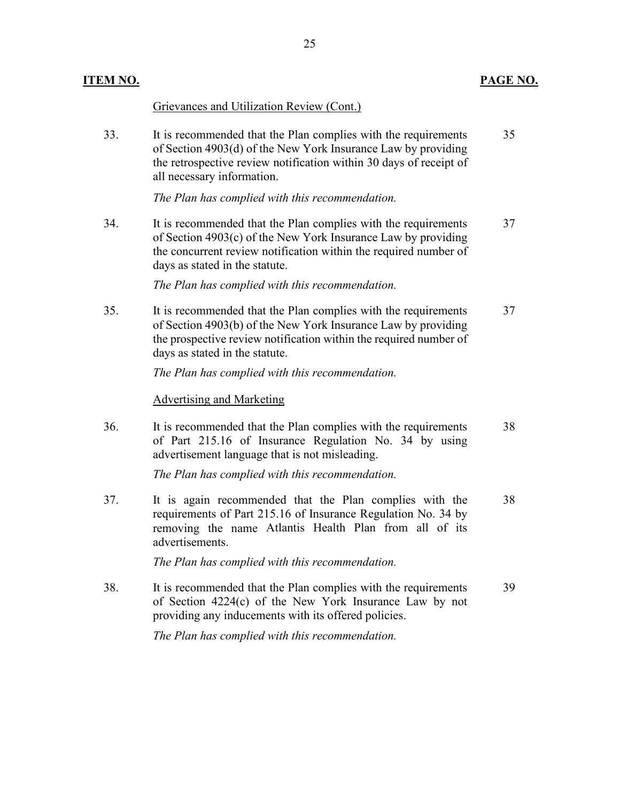| <u>ITEM NO.</u> |                                                                                                                                                                                                                                        | PAGE NO. |
|-----------------|----------------------------------------------------------------------------------------------------------------------------------------------------------------------------------------------------------------------------------------|----------|
|                 | Grievances and Utilization Review (Cont.)                                                                                                                                                                                              |          |
| 33.             | It is recommended that the Plan complies with the requirements<br>of Section 4903(d) of the New York Insurance Law by providing<br>the retrospective review notification within 30 days of receipt of<br>all necessary information.    | 35       |
|                 | The Plan has complied with this recommendation.                                                                                                                                                                                        |          |
| 34.             | It is recommended that the Plan complies with the requirements<br>of Section 4903(c) of the New York Insurance Law by providing<br>the concurrent review notification within the required number of<br>days as stated in the statute.  | 37       |
|                 | The Plan has complied with this recommendation.                                                                                                                                                                                        |          |
| 35.             | It is recommended that the Plan complies with the requirements<br>of Section 4903(b) of the New York Insurance Law by providing<br>the prospective review notification within the required number of<br>days as stated in the statute. | 37       |
|                 | The Plan has complied with this recommendation.                                                                                                                                                                                        |          |
|                 | <b>Advertising and Marketing</b>                                                                                                                                                                                                       |          |
| 36.             | It is recommended that the Plan complies with the requirements<br>of Part 215.16 of Insurance Regulation No. 34 by using<br>advertisement language that is not misleading.                                                             | 38       |
|                 | The Plan has complied with this recommendation.                                                                                                                                                                                        |          |
| 37.             | It is again recommended that the Plan complies with the<br>requirements of Part 215.16 of Insurance Regulation No. 34 by<br>removing the name Atlantis Health Plan from all of its<br>advertisements.                                  | 38       |
|                 | The Plan has complied with this recommendation.                                                                                                                                                                                        |          |
| 38.             | It is recommended that the Plan complies with the requirements<br>of Section 4224(c) of the New York Insurance Law by not<br>providing any inducements with its offered policies.                                                      | 39       |
|                 | The Plan has complied with this recommendation.                                                                                                                                                                                        |          |
|                 |                                                                                                                                                                                                                                        |          |
|                 |                                                                                                                                                                                                                                        |          |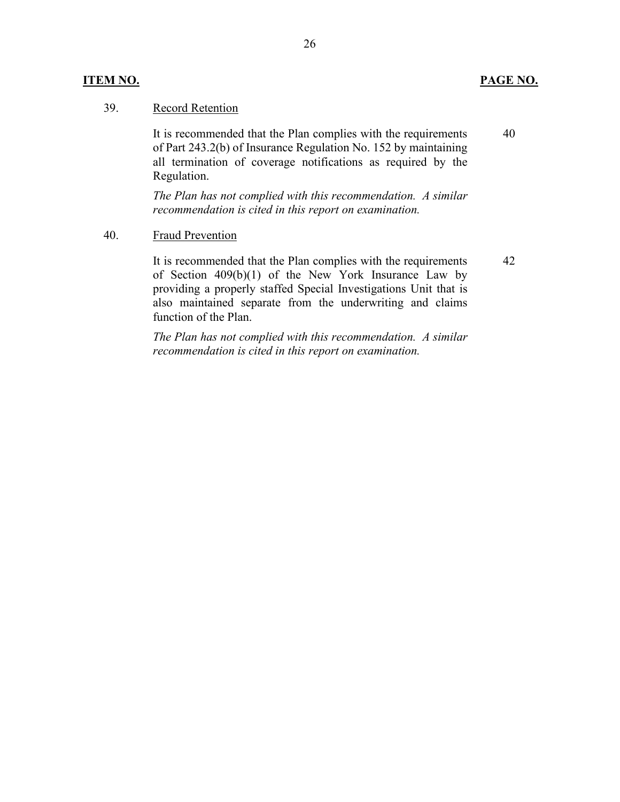#### **ITEM NO. PAGE NO.**

40

42

#### 39. Record Retention

It is recommended that the Plan complies with the requirements of Part 243.2(b) of Insurance Regulation No. 152 by maintaining all termination of coverage notifications as required by the Regulation.

*The Plan has not complied with this recommendation. A similar recommendation is cited in this report on examination.*

40. Fraud Prevention

It is recommended that the Plan complies with the requirements of Section  $409(b)(1)$  of the New York Insurance Law by providing a properly staffed Special Investigations Unit that is also maintained separate from the underwriting and claims function of the Plan.

*The Plan has not complied with this recommendation. A similar recommendation is cited in this report on examination.*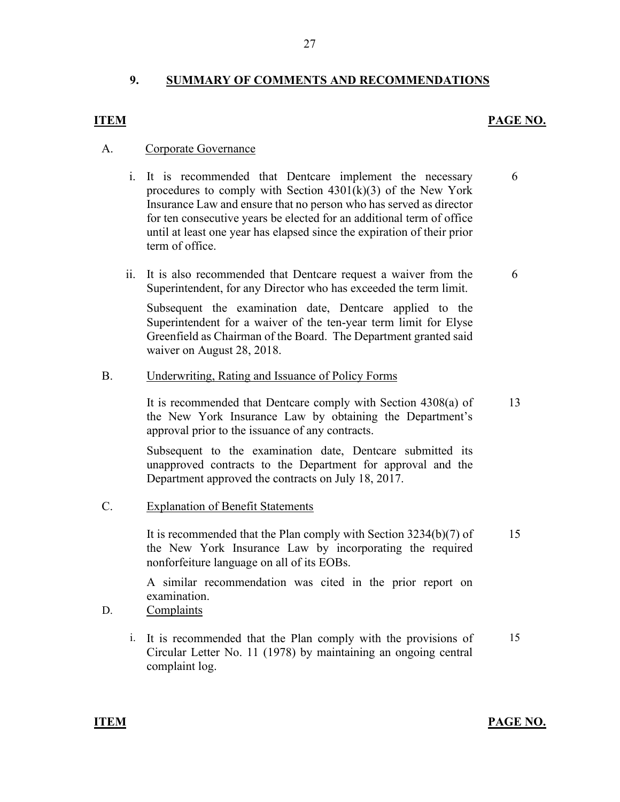#### **9. SUMMARY OF COMMENTS AND RECOMMENDATIONS**

#### **ITEM PAGE NO.**

6

#### A. Corporate Governance

- i. It is recommended that Dentcare implement the necessary procedures to comply with Section 4301(k)(3) of the New York Insurance Law and ensure that no person who has served as director for ten consecutive years be elected for an additional term of office until at least one year has elapsed since the expiration of their prior term of office.
- ii. It is also recommended that Dentcare request a waiver from the Superintendent, for any Director who has exceeded the term limit. 6

Subsequent the examination date, Dentcare applied to the Superintendent for a waiver of the ten-year term limit for Elyse Greenfield as Chairman of the Board. The Department granted said waiver on August 28, 2018.

#### B. Underwriting, Rating and Issuance of Policy Forms

It is recommended that Dentcare comply with Section 4308(a) of the New York Insurance Law by obtaining the Department's approval prior to the issuance of any contracts.

Subsequent to the examination date, Dentcare submitted its unapproved contracts to the Department for approval and the Department approved the contracts on July 18, 2017.

C. Explanation of Benefit Statements

It is recommended that the Plan comply with Section 3234(b)(7) of the New York Insurance Law by incorporating the required nonforfeiture language on all of its EOBs. 15

A similar recommendation was cited in the prior report on examination.

- D. Complaints
	- i. It is recommended that the Plan comply with the provisions of Circular Letter No. 11 (1978) by maintaining an ongoing central complaint log. 15

**ITEM PAGE NO.**

13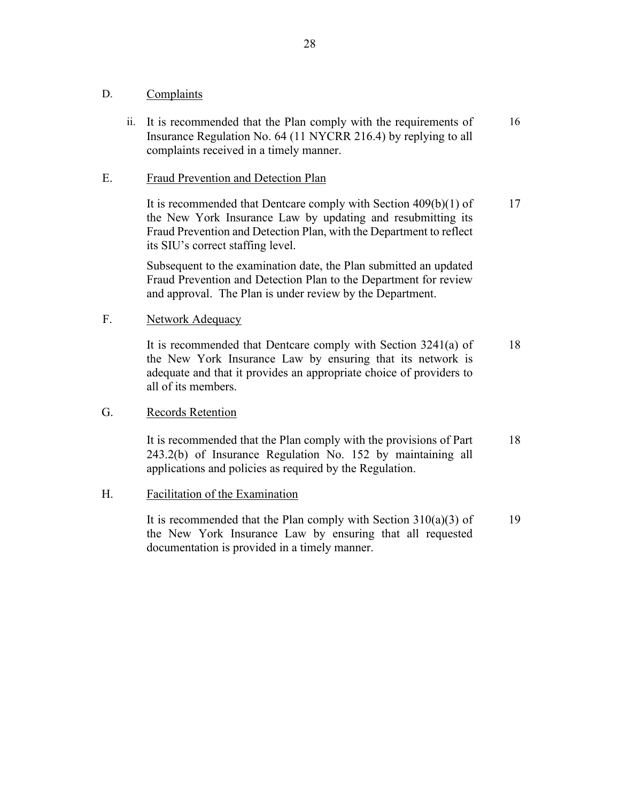#### D. Complaints

ii. It is recommended that the Plan comply with the requirements of Insurance Regulation No. 64 (11 NYCRR 216.4) by replying to all complaints received in a timely manner. 16

#### E. Fraud Prevention and Detection Plan

It is recommended that Dentcare comply with Section 409(b)(1) of the New York Insurance Law by updating and resubmitting its Fraud Prevention and Detection Plan, with the Department to reflect its SIU's correct staffing level. 17

Subsequent to the examination date, the Plan submitted an updated Fraud Prevention and Detection Plan to the Department for review and approval. The Plan is under review by the Department.

#### F. Network Adequacy

It is recommended that Dentcare comply with Section 3241(a) of the New York Insurance Law by ensuring that its network is adequate and that it provides an appropriate choice of providers to all of its members. 18

#### G. Records Retention

It is recommended that the Plan comply with the provisions of Part 243.2(b) of Insurance Regulation No. 152 by maintaining all applications and policies as required by the Regulation. 18

#### H. Facilitation of the Examination

It is recommended that the Plan comply with Section  $310(a)(3)$  of the New York Insurance Law by ensuring that all requested documentation is provided in a timely manner. 19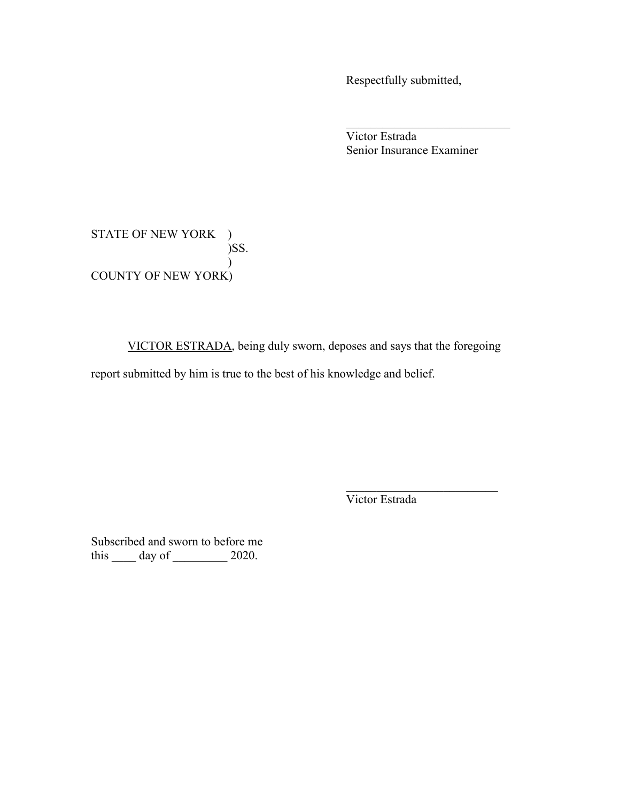Respectfully submitted,

Victor Estrada Senior Insurance Examiner

\_\_\_\_\_\_\_\_\_\_\_\_\_\_\_\_\_\_\_\_\_\_\_\_\_\_\_

STATE OF NEW YORK ) )SS.  $\mathcal{L}$ COUNTY OF NEW YORK)

VICTOR ESTRADA, being duly sworn, deposes and says that the foregoing

report submitted by him is true to the best of his knowledge and belief.

Victor Estrada

\_\_\_\_\_\_\_\_\_\_\_\_\_\_\_\_\_\_\_\_\_\_\_\_\_

Subscribed and sworn to before me this  $\_\_\_\$  day of  $\_\_\_\_\$  2020.